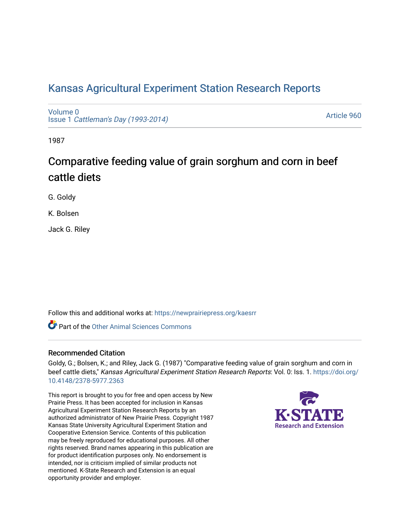## [Kansas Agricultural Experiment Station Research Reports](https://newprairiepress.org/kaesrr)

[Volume 0](https://newprairiepress.org/kaesrr/vol0) Issue 1 [Cattleman's Day \(1993-2014\)](https://newprairiepress.org/kaesrr/vol0/iss1) 

[Article 960](https://newprairiepress.org/kaesrr/vol0/iss1/960) 

1987

# Comparative feeding value of grain sorghum and corn in beef cattle diets

G. Goldy

K. Bolsen

Jack G. Riley

Follow this and additional works at: [https://newprairiepress.org/kaesrr](https://newprairiepress.org/kaesrr?utm_source=newprairiepress.org%2Fkaesrr%2Fvol0%2Fiss1%2F960&utm_medium=PDF&utm_campaign=PDFCoverPages) 

**C** Part of the [Other Animal Sciences Commons](http://network.bepress.com/hgg/discipline/82?utm_source=newprairiepress.org%2Fkaesrr%2Fvol0%2Fiss1%2F960&utm_medium=PDF&utm_campaign=PDFCoverPages)

#### Recommended Citation

Goldy, G.; Bolsen, K.; and Riley, Jack G. (1987) "Comparative feeding value of grain sorghum and corn in beef cattle diets," Kansas Agricultural Experiment Station Research Reports: Vol. 0: Iss. 1. [https://doi.org/](https://doi.org/10.4148/2378-5977.2363) [10.4148/2378-5977.2363](https://doi.org/10.4148/2378-5977.2363)

This report is brought to you for free and open access by New Prairie Press. It has been accepted for inclusion in Kansas Agricultural Experiment Station Research Reports by an authorized administrator of New Prairie Press. Copyright 1987 Kansas State University Agricultural Experiment Station and Cooperative Extension Service. Contents of this publication may be freely reproduced for educational purposes. All other rights reserved. Brand names appearing in this publication are for product identification purposes only. No endorsement is intended, nor is criticism implied of similar products not mentioned. K-State Research and Extension is an equal opportunity provider and employer.

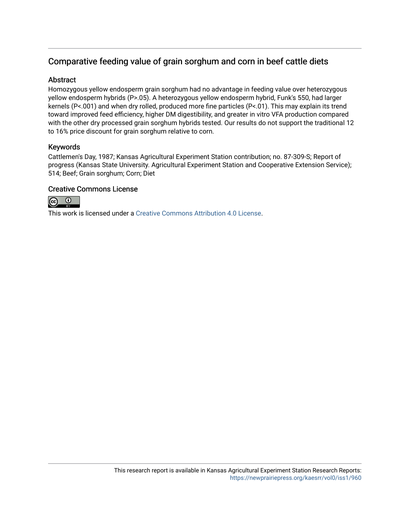### Comparative feeding value of grain sorghum and corn in beef cattle diets

#### Abstract

Homozygous yellow endosperm grain sorghum had no advantage in feeding value over heterozygous yellow endosperm hybrids (P>.05). A heterozygous yellow endosperm hybrid, Funk's 550, had larger kernels (P<.001) and when dry rolled, produced more fine particles (P<.01). This may explain its trend toward improved feed efficiency, higher DM digestibility, and greater in vitro VFA production compared with the other dry processed grain sorghum hybrids tested. Our results do not support the traditional 12 to 16% price discount for grain sorghum relative to corn.

#### Keywords

Cattlemen's Day, 1987; Kansas Agricultural Experiment Station contribution; no. 87-309-S; Report of progress (Kansas State University. Agricultural Experiment Station and Cooperative Extension Service); 514; Beef; Grain sorghum; Corn; Diet

#### Creative Commons License



This work is licensed under a [Creative Commons Attribution 4.0 License](https://creativecommons.org/licenses/by/4.0/).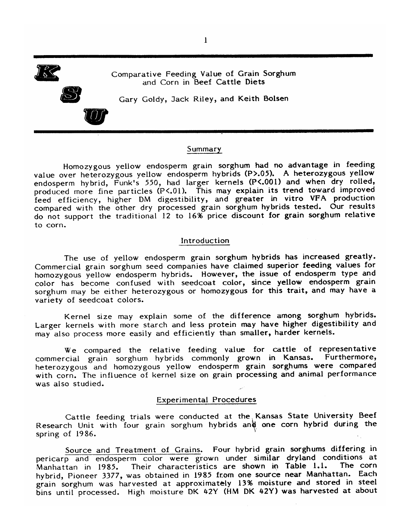

Comparative Feeding Value of Grain Sorghum and Corn in Beef Cattle Diets

Gary Goldy, Jack Riley, and Keith Bolsen



#### Summary

Homozygous yellow endosperm grain sorghum had no advantage in feeding value over heterozygous yellow endosperm hybrids (P>.05). A heterozygous yellow endosperm hybrid, Funk's 550, had larger kernels (P<.001) and when dry rolled, produced more fine particles (P<.01). This may explain its trend toward improved feed efficiency, higher DM digestibility, and greater in vitro VFA production compared with the other dry processed grain sorghum hybrids tested. Our results do not support the traditional 12 to 16% price discount for grain sorghum relative to corn.

#### Introduction

The use of yellow endosperm grain sorghum hybrids has increased greatly. Commercial grain sorghum seed companies have claimed superior feeding values for homozygous yellow endosperm hybrids. However, the issue of endosperm type and color has become confused with seedcoat color, since yellow endosperm grain sorghum may be either heterozygous or homozygous for this trait, and may have a variety of seedcoat colors.

Kernel size may explain some of the difference among sorghum hybrids. Larger kernels with more starch and less protein may have higher digestibility and may also process more easily and efficiently than smaller, harder kernels.

We compared the relative feeding value for cattle of representative commercial grain sorghum hybrids commonly grown in Kansas. Furthermore, heterozygous and homozygous yellow endosperm grain sorghums were compared with corn. The influence of kernel size on grain processing and animal performance was also studied.

#### **Experimental Procedures**

Cattle feeding trials were conducted at the Kansas State University Beef Research Unit with four grain sorghum hybrids and one corn hybrid during the spring of 1986.

Source and Treatment of Grains. Four hybrid grain sorghums differing in pericarp and endosperm color were grown under similar dryland conditions at Their characteristics are shown in Table 1.1. The corn Manhattan in 1985. hybrid, Pioneer 3377, was obtained in 1985 from one source near Manhattan. Each grain sorghum was harvested at approximately 13% moisture and stored in steel bins until processed. High moisture DK 42Y (HM DK 42Y) was harvested at about

 $\mathbf{1}$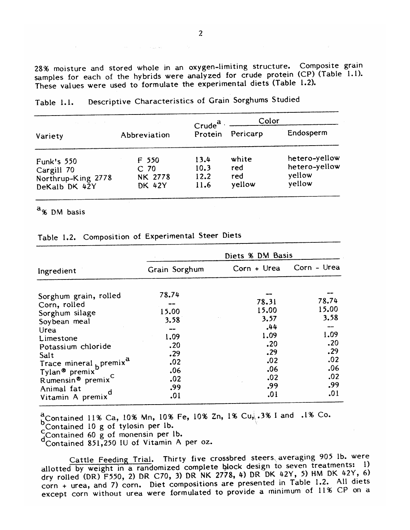28% moisture and stored whole in an oxygen-limiting structure. Composite grain samples for each of the hybrids were analyzed for crude protein (CP) (Table 1.1). These values were used to formulate the experimental diets (Table 1.2).

| support the country of the                                             |                                                                 | Crude <sup>a</sup>           | Color                         |                                                    |
|------------------------------------------------------------------------|-----------------------------------------------------------------|------------------------------|-------------------------------|----------------------------------------------------|
| Variety                                                                | Abbreviation                                                    | Protein                      | Pericarp                      | Endosperm                                          |
| <b>Funk's 550</b><br>Cargill 70<br>Northrup-King 2778<br>DeKalb DK 42Y | F <sub>550</sub><br>C <sub>70</sub><br>NK 2778<br><b>DK 42Y</b> | 13.4<br>10.3<br>12.2<br>11.6 | white<br>red<br>red<br>yellow | hetero-yellow<br>hetero-yellow<br>yellow<br>yellow |

Descriptive Characteristics of Grain Sorghums Studied Table 1.1.

<sup>a</sup>% DM basis

Table 1.2. Composition of Experimental Steer Diets

|                                                                                                                                                            | Diets % DM Basis                |                                 |                                 |  |  |  |
|------------------------------------------------------------------------------------------------------------------------------------------------------------|---------------------------------|---------------------------------|---------------------------------|--|--|--|
| Ingredient                                                                                                                                                 | Grain Sorghum                   | Corn + Urea                     | Corn - Urea                     |  |  |  |
| Sorghum grain, rolled<br>Corn, rolled<br>Sorghum silage<br>Soybean meal                                                                                    | 78.74<br>15.00<br>3.58          | 78.31<br>15.00<br>3.57<br>.44   | 78.74<br>15.00<br>3.58          |  |  |  |
| Urea<br>Limestone<br>Potassium chloride<br>Salt                                                                                                            | 1.09<br>.20<br>.29              | 1.09<br>.20<br>.29              | 1.09<br>.20<br>.29              |  |  |  |
| Trace mineral <sub>b</sub> premix <sup>d</sup><br>Tylan <sup>®</sup> premix<br>Rumensin <sup>®</sup> premix <sup>C</sup><br>Animal fat<br>Vitamin A premix | .02<br>.06<br>.02<br>.99<br>.01 | .02<br>.06<br>.02<br>.99<br>.01 | .02<br>.06<br>.02<br>.99<br>.01 |  |  |  |

a Contained 11% Ca, 10% Mn, 10% Fe, 10% Zn, 1% Cu, 3% I and 1.1% Co.<br>b Contained 10 g of tylosin per lb.<br>d Contained 60 g of monensin per lb.

dContained 851,250 IU of Vitamin A per oz.

Cattle Feeding Trial. Thirty five crossbred steers averaging 905 lb. were allotted by weight in a randomized complete block design to seven treatments: 1) dry rolled (DR) F550, 2) DR C70, 3) DR NK 2778, 4) DR DK 42Y, 5) HM DK 42Y, 6) corn + urea, and 7) corn. Diet compositions are presented in Table 1.2. All diets except corn without urea were formulated to provide a minimum of 11% CP on a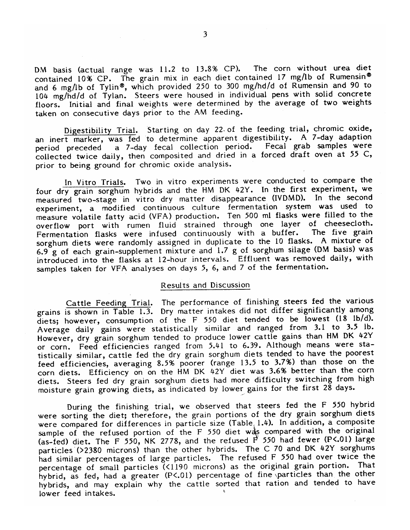The corn without urea diet DM basis (actual range was 11.2 to 13.8% CP). contained 10% CP. The grain mix in each diet contained 17 mg/lb of Rumensin® and 6 mg/lb of Tylin®, which provided 250 to 300 mg/hd/d of Rumensin and 90 to 104 mg/hd/d of Tylan. Steers were housed in individual pens with solid concrete floors. Initial and final weights were determined by the average of two weights taken on consecutive days prior to the AM feeding.

Digestibility Trial. Starting on day 22 of the feeding trial, chromic oxide, an inert marker, was fed to determine apparent digestibility. A 7-day adaption a 7-day fecal collection period. Fecal grab samples were period preceded collected twice daily, then composited and dried in a forced draft oven at 55 C, prior to being ground for chromic oxide analysis.

In Vitro Trials. Two in vitro experiments were conducted to compare the four dry grain sorghum hybrids and the HM DK 42Y. In the first experiment, we measured two-stage in vitro dry matter disappearance (IVDMD). In the second experiment, a modified continuous culture fermentation system was used to measure volatile fatty acid (VFA) production. Ten 500 ml flasks were filled to the overflow port with rumen fluid strained through one layer of cheesecloth. Fermentation flasks were infused continuously with a buffer. The five grain sorghum diets were randomly assigned in duplicate to the 10 flasks. A mixture of 6.9 g of each grain-supplement mixture and 1.7 g of sorghum silage (DM basis) was introduced into the flasks at 12-hour intervals. Effluent was removed daily, with samples taken for VFA analyses on days 5, 6, and 7 of the fermentation.

#### Results and Discussion

Cattle Feeding Trial. The performance of finishing steers fed the various grains is shown in Table 1.3. Dry matter intakes did not differ significantly among diets; however, consumption of the F 550 diet tended to be lowest (18 lb/d). Average daily gains were statistically similar and ranged from 3.1 to 3.5 lb. However, dry grain sorghum tended to produce lower cattle gains than HM DK 42Y or corn. Feed efficiencies ranged from 5.41 to 6.39. Although means were statistically similar, cattle fed the dry grain sorghum diets tended to have the poorest feed efficiencies, averaging 8.5% poorer (range 13.5 to 3.7%) than those on the corn diets. Efficiency on on the HM DK 42Y diet was 3.6% better than the corn diets. Steers fed dry grain sorghum diets had more difficulty switching from high moisture grain growing diets, as indicated by lower gains for the first 28 days.

During the finishing trial, we observed that steers fed the F 550 hybrid were sorting the diet; therefore, the grain portions of the dry grain sorghum diets were compared for differences in particle size (Table 1.4). In addition, a composite sample of the refused portion of the F 550 diet was compared with the original (as-fed) diet. The F 550, NK 2778, and the refused  $\overrightarrow{P}$  550 had fewer (P<.01) large particles (>2380 microns) than the other hybrids. The C 70 and DK 42Y sorghums had similar percentages of large particles. The refused F 550 had over twice the percentage of small particles (<1190 microns) as the original grain portion. That hybrid, as fed, had a greater (P<.01) percentage of fine particles than the other hybrids, and may explain why the cattle sorted that ration and tended to have lower feed intakes.

 $\overline{\mathbf{3}}$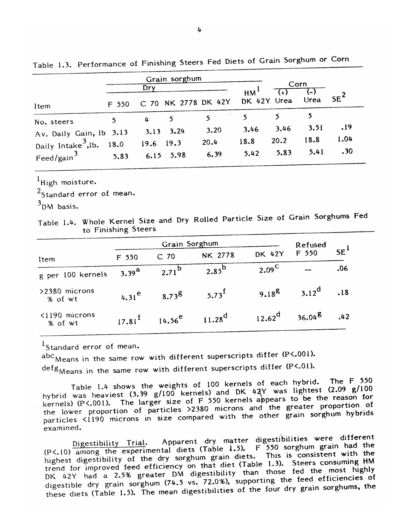|                                 |       | Grain sorghum<br>Dry |               |                     | Corn |             |      |        |
|---------------------------------|-------|----------------------|---------------|---------------------|------|-------------|------|--------|
| Item                            | F 550 |                      |               | C 70 NK 2778 DK 42Y | HM   | DK 42Y Urea | Urea | $SE^2$ |
| No. steers                      |       | 4                    |               |                     |      |             |      |        |
| Av. Daily Gain, lb 3.13         |       | 3.13                 | 3.24          | 3.20                | 3.46 | 3.46        | 3.51 | .19    |
| Daily Intake <sup>3</sup> , lb. | 18.0  | $19.6$ 19.3          |               | 20.4                | 18.8 | 20.2        | 18.8 | 1.04   |
| Feed/gain <sup>3</sup>          | 5.83  |                      | $6.15$ $5.98$ | 6.39                | 5.42 | 5.83        | 5.41 | .30    |

Table 1.3. Performance of Finishing Steers Fed Diets of Grain Sorghum or Corn

 $<sup>1</sup>$  High moisture.</sup>

<sup>2</sup>Standard error of mean.

 $3$ <sub>DM</sub> basis.

Table 1.4. Whole Kernel Size and Dry Rolled Particle Size of Grain Sorghums Fed to Finishing Steers

|                                   |                  | Refused         |            |                 |                  |     |
|-----------------------------------|------------------|-----------------|------------|-----------------|------------------|-----|
| Item                              | F <sub>550</sub> | C <sub>70</sub> | NK 2778    | DK 42Y          | F <sub>550</sub> | SE' |
| g per 100 kernels                 | 3.39 $^{a}$      | $2.71^{b}$      | $2.85^{D}$ | $2.09^\text{C}$ |                  | .06 |
| >2380 microns<br>% of wt          | $4.31^e$         | $8.73^{8}$      | $5.73^{1}$ | $9.18^{8}$      | $3.12^d$         | .18 |
| $\langle$ 1190 microns<br>% of wt | $17.81^{1}$      | $14.56^{\circ}$ | $11.28^d$  | $12.62^d$       | $36.04^{8}$      | .42 |

 $<sup>1</sup>$ Standard error of mean.</sup>

abc<sub>Means</sub> in the same row with different superscripts differ (P<.001). defg<sub>Means</sub> in the same row with different superscripts differ (P<.01).

Table 1.4 shows the weights of 100 kernels of each hybrid. The F 550 hybrid was heaviest (3.39 g/100 kernels) and DK 42Y was lightest (2.09 g/100 kernels) (P<.001). The larger size of F 550 kernels appears to be the reason for the lower proportion of particles >2380 microns and the greater proportion of particles <1190 microns in size compared with the other grain sorghum hybrids examined.

Digestibility Trial. Apparent dry matter digestibilities were different<br>(P<.10) among the experimental diets (Table 1.5). F 550 sorghum grain had the<br>highest digestibility of the dry sorghum grain diets. This is consistent trend for improved feed efficiency on that diet (Table 1.3). Steers consuming HM DK 42Y had a 2.5% greater DM digestibility than those fed the most highly digestible dry grain sorghum (74.5 vs. 72.0%), supporting the feed efficiencies of these diets (Table 1.5). The mean digestibilities of the four dry grain sorghums, the